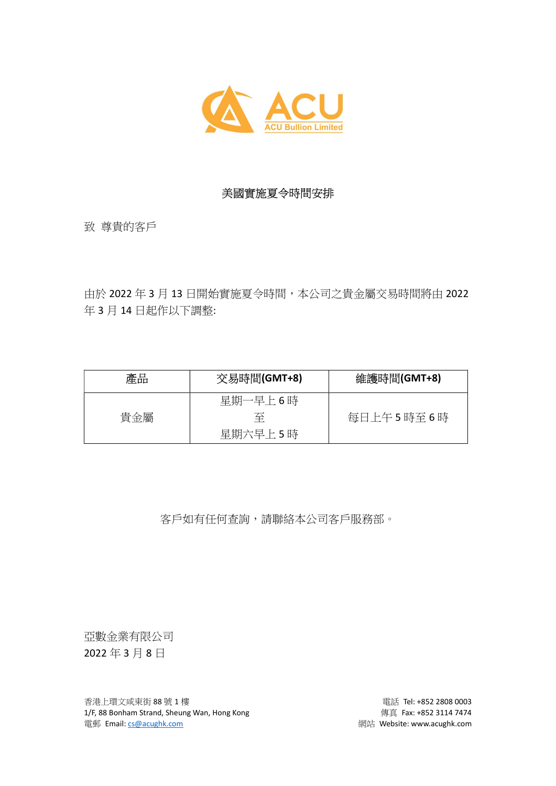

## 美國實施夏令時間安排

致 尊貴的客戶

由於 2022 年 3 月 13 日開始實施夏令時間,本公司之貴金屬交易時間將由 2022 年 3 月 14 日起作以下調整:

| 產品  | 交易時間(GMT+8) | 維護時間(GMT+8) |
|-----|-------------|-------------|
|     | 星期一早上6時     |             |
| 貴金屬 | 至           | 每日上午5時至6時   |
|     | 星期六早上5時     |             |

客戶如有任何查詢,請聯絡本公司客戶服務部。

亞數金業有限公司 2022 年 3 月 8 日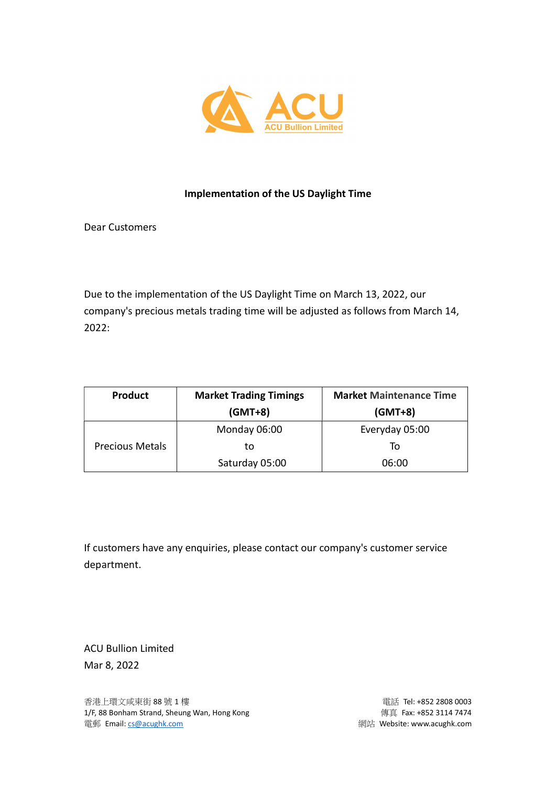

## Implementation of the US Daylight Time

Dear Customers

Due to the implementation of the US Daylight Time on March 13, 2022, our company's precious metals trading time will be adjusted as follows from March 14, 2022:

| <b>Product</b>         | <b>Market Trading Timings</b> | <b>Market Maintenance Time</b> |
|------------------------|-------------------------------|--------------------------------|
|                        | $(GMT+8)$                     | $(GMT+8)$                      |
| <b>Precious Metals</b> | Monday 06:00                  | Everyday 05:00                 |
|                        | to                            | To                             |
|                        | Saturday 05:00                | 06:00                          |

If customers have any enquiries, please contact our company's customer service department.

ACU Bullion Limited Mar 8, 2022

香港上環文咸東街 88 號 1 樓 **電話 1 車 高速 1 車 車 電話 Tel: +852 2808 0003** 1/F, 88 Bonham Strand, Sheung Wan, Hong Kong extending the state of the quality quality of the state of the 1 電郵 Email: cs@acughk.com and the community of the community and the community and the community and the community  $\mathbb{R}^n$ . Website: www.acughk.com